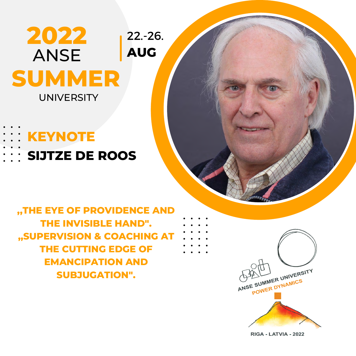#### **2022 SUMMER ANSE** UNIVERSITY 22.-26. **AUG**

# **KEYNOTE**

**SIJTZE DE ROOS**

**,,THE EYE OF PROVIDENCE AND THE INVISIBLE HAND". ,,SUPERVISION & COACHING AT THE CUTTING EDGE OF EMANCIPATION AND SUBJUGATION".**



RIGA - LATVIA - 2022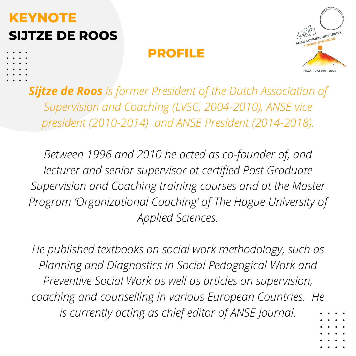# **KEYNOTE SIJTZE DE ROOS**

### **PROFILE**



*Sijtze de Roos is former President of the Dutch Association of Supervision and Coaching (LVSC, 2004-2010), ANSE vice president (2010-2014) and ANSE President (2014-2018).*

*Between 1996 and 2010 he acted as co-founder of, and lecturer and senior supervisor at certified Post Graduate Supervision and Coaching training courses and at the Master Program 'Organizational Coaching' of The Hague University of Applied Sciences.*

*He published textbooks on social work methodology, such as Planning and Diagnostics in Social Pedagogical Work and Preventive Social Work as well as articles on supervision, coaching and counselling in various European Countries. He is currently acting as chief editor of ANSE Journal.*